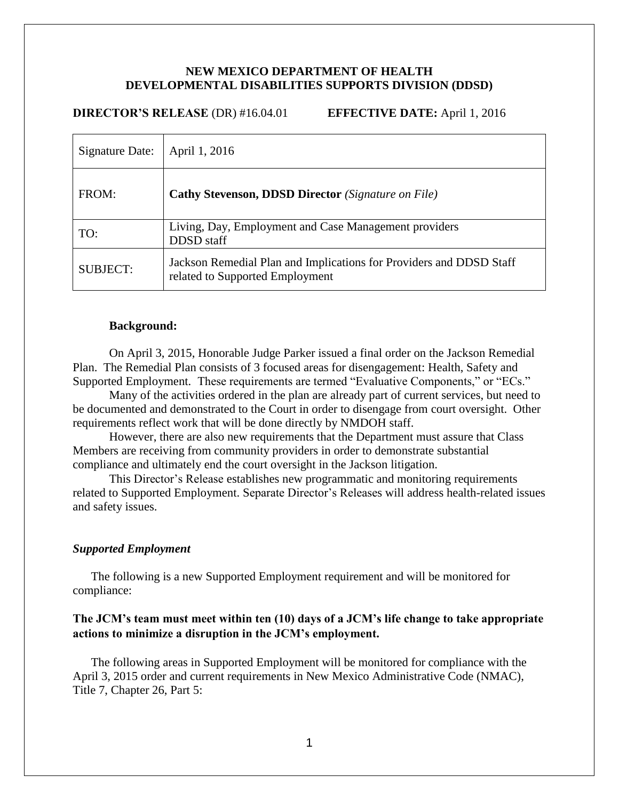## **NEW MEXICO DEPARTMENT OF HEALTH DEVELOPMENTAL DISABILITIES SUPPORTS DIVISION (DDSD)**

### **DIRECTOR'S RELEASE** (DR) #16.04.01 **EFFECTIVE DATE:** April 1, 2016

| Signature Date: | April 1, 2016                                                                                          |
|-----------------|--------------------------------------------------------------------------------------------------------|
| FROM:           | <b>Cathy Stevenson, DDSD Director</b> (Signature on File)                                              |
| TO:             | Living, Day, Employment and Case Management providers<br>DDSD staff                                    |
| <b>SUBJECT:</b> | Jackson Remedial Plan and Implications for Providers and DDSD Staff<br>related to Supported Employment |

#### **Background:**

On April 3, 2015, Honorable Judge Parker issued a final order on the Jackson Remedial Plan. The Remedial Plan consists of 3 focused areas for disengagement: Health, Safety and Supported Employment. These requirements are termed "Evaluative Components," or "ECs."

Many of the activities ordered in the plan are already part of current services, but need to be documented and demonstrated to the Court in order to disengage from court oversight. Other requirements reflect work that will be done directly by NMDOH staff.

However, there are also new requirements that the Department must assure that Class Members are receiving from community providers in order to demonstrate substantial compliance and ultimately end the court oversight in the Jackson litigation.

This Director's Release establishes new programmatic and monitoring requirements related to Supported Employment. Separate Director's Releases will address health-related issues and safety issues.

## *Supported Employment*

The following is a new Supported Employment requirement and will be monitored for compliance:

# **The JCM's team must meet within ten (10) days of a JCM's life change to take appropriate actions to minimize a disruption in the JCM's employment.**

The following areas in Supported Employment will be monitored for compliance with the April 3, 2015 order and current requirements in New Mexico Administrative Code (NMAC), Title 7, Chapter 26, Part 5: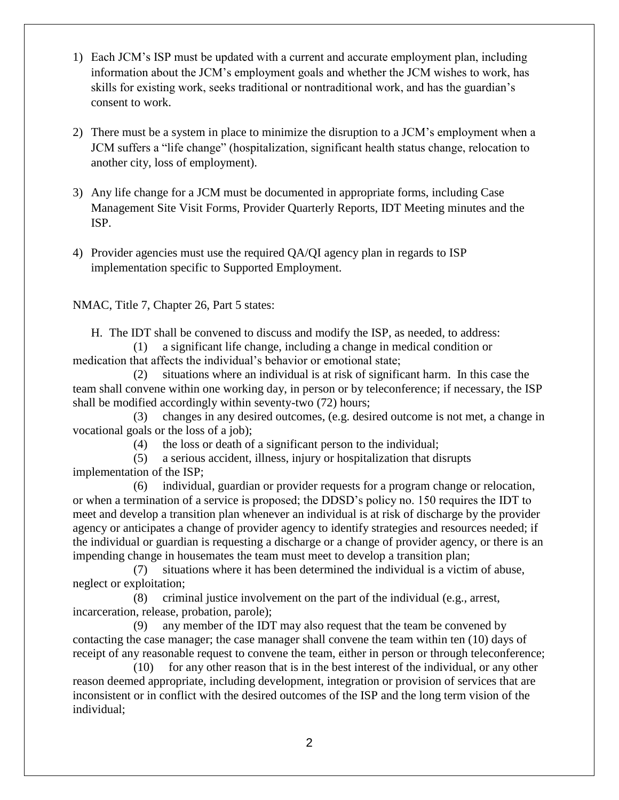- 1) Each JCM's ISP must be updated with a current and accurate employment plan, including information about the JCM's employment goals and whether the JCM wishes to work, has skills for existing work, seeks traditional or nontraditional work, and has the guardian's consent to work.
- 2) There must be a system in place to minimize the disruption to a JCM's employment when a JCM suffers a "life change" (hospitalization, significant health status change, relocation to another city, loss of employment).
- 3) Any life change for a JCM must be documented in appropriate forms, including Case Management Site Visit Forms, Provider Quarterly Reports, IDT Meeting minutes and the ISP.
- 4) Provider agencies must use the required QA/QI agency plan in regards to ISP implementation specific to Supported Employment.

NMAC, Title 7, Chapter 26, Part 5 states:

H. The IDT shall be convened to discuss and modify the ISP, as needed, to address:

 (1) a significant life change, including a change in medical condition or medication that affects the individual's behavior or emotional state;

 (2) situations where an individual is at risk of significant harm. In this case the team shall convene within one working day, in person or by teleconference; if necessary, the ISP shall be modified accordingly within seventy-two (72) hours;

 (3) changes in any desired outcomes, (e.g. desired outcome is not met, a change in vocational goals or the loss of a job);

(4) the loss or death of a significant person to the individual;

 (5) a serious accident, illness, injury or hospitalization that disrupts implementation of the ISP;

 (6) individual, guardian or provider requests for a program change or relocation, or when a termination of a service is proposed; the DDSD's policy no. 150 requires the IDT to meet and develop a transition plan whenever an individual is at risk of discharge by the provider agency or anticipates a change of provider agency to identify strategies and resources needed; if the individual or guardian is requesting a discharge or a change of provider agency, or there is an impending change in housemates the team must meet to develop a transition plan;

 (7) situations where it has been determined the individual is a victim of abuse, neglect or exploitation;

 (8) criminal justice involvement on the part of the individual (e.g., arrest, incarceration, release, probation, parole);

 (9) any member of the IDT may also request that the team be convened by contacting the case manager; the case manager shall convene the team within ten (10) days of receipt of any reasonable request to convene the team, either in person or through teleconference;

 (10) for any other reason that is in the best interest of the individual, or any other reason deemed appropriate, including development, integration or provision of services that are inconsistent or in conflict with the desired outcomes of the ISP and the long term vision of the individual;